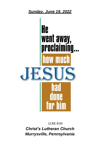*Sunday, June 19, 2022*



**LUKE 8:39** *Christ's Lutheran Church Murrysville, Pennsylvania*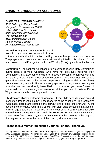# *CHRIST'S CHURCH FOR ALL PEOPLE*

#### *CHRIST'S LUTHERAN CHURCH*

*5330 Old Logan Ferry Road Murrysville, Pennsylvania 15668 Office: 412-795-1212/email: [office@christsmurrysville.org](mailto:office@christsmurrysville.org) Visit our website at [www.christsmurrysville.org](http://www.christsmurrysville.org/) Pastor Wayne's email: revwaynegillespie@gmail.com*



**We welcome you** to our church's house of worship. If you are new to worship in the

Lutheran church, this introduction n will guide you through the worship service. The prayers, responses, and service music are all printed in this bulletin. You will need to use the red Evangelical Lutheran Worship (ELW) hymnals for the hymns.

**Communion -** All baptized Christians are welcome to receive Holy Communion during today's service. Children, who have not previously received Holy Communion, may also come forward for a special blessing. When you come to the altar, you can either kneel or remain standing. We offer both wheat and gluten-free wafers, and both wine and grape juice during our celebrations of Holy Communion. If you would like to receive grape juice today, please take a glass from the tray that has already been filled with juice when you come forward. If you would like to receive a gluten-free wafer, all that you need to do is let Pastor Wayne know when he is giving you the bread.

**Children are always welcome at worship**. If your child needs to move around, please feel free to walk him/her in the rear area of the sanctuary. The rest rooms (with diaper decks) are located in the hallway to the right of the entryway. At the back of the sanctuary, you'll find a basket with cloth bags containing activities for children age 3 and older. Feel free to allow your child to borrow a bag for quiet entertainment during services. With the exception of any artwork your child creates (feel free to tear out), we ask that you return the contents to the bag, and the bag to the basket at the back of the church, after our service.

### **Please take a moment to silence your cell phone. Thank you.**

Sunday worship materials are reprinted from *Evangelical Lutheran Worship* hymnal, copyright © 2006, Augsburg Fortress. All rights reserved. Used by permission of Augsburg Fortress under License # SBL15475. Bible readings are from the *Good News Translation*, copyright 1992, American Bible Society. Prayers are from *Sundays and Seasons*, copyright 2016, Augsburg Fortress.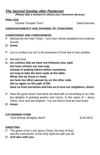# *The Second Sunday after Pentecost*

*(Please take a moment to silence your electronic devices)*

#### **PRELUDE**

"*Festive Trumpet Tune*" David German

#### **ANNOUNCEMENTS AND SHARING OF CONCERNS**

#### **CONFESSION AND FORGIVENESS**

- P: Blessed be the Holy Trinity, + one God, whose steadfast love endures forever.
- **C: Amen**
- P: Let us confess our sin in the presence of God and of one another.
- P: Merciful God,
- **C: we confess that we have not followed your path but have chosen our own way. Instead of putting others before ourselves, we long to take the best seats at the table. When met by those in need, we have too often passed by on the other side. Set us again on the path of life. Save us from ourselves and free us to love our neighbors. Amen.**
- P: Hear the good news! God does not deal with us according to our sins but delights in granting pardon and mercy. In the name of + Jesus Christ, your sins are forgiven. You are free to love as God loves.
- **C: Amen**

#### **GATHERING HYMN**

"*God Whose Almighty Word*" ELW #673

#### **GREETING**

- P: The grace of our Lord Jesus Christ, the love of God, and the communion of the Holy Spirit be with you all.
- **C: And also with you.**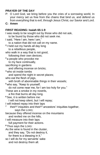## **PRAYER OF THE DAY**

P: O Lord God, we bring before you the cries of a sorrowing world, In your mercy set us free from the chains that bind us, and defend us from everything that is evil, through Jesus Christ, our Savior and Lord.

**C: Amen**

#### **FIRST READING: Isaiah 65:1-9**

I was ready to be sought out by those who did not ask, to be found by those who did not seek me. I said, "Here I am, here I am," to a nation that did not call on my name. **2** I held out my hands all day long to a rebellious people, who walk in a way that is not good, following their own devices; **<sup>3</sup>** a people who provoke me to my face continually, sacrificing in gardens and offering incense on bricks; **<sup>4</sup>** who sit inside tombs and spend the night in secret places; who eat the flesh of pigs. with broth of abominable things in their vessels; **<sup>5</sup>** who say, "Keep to yourself; do not come near me, for I am too holy for you." These are a smoke in my nostrils, a fire that burns all day long. **<sup>6</sup>** See, it is written before me: I will not keep silent, but I will repay; I will indeed repay into their laps **7** their<sup>[\[a\]](https://www.biblegateway.com/passage/?search=Isa+65%3A1-9&version=NRSVUE#fen-NRSVUE-18905a)</sup> iniquities and their<sup>[\[b\]](https://www.biblegateway.com/passage/?search=Isa+65%3A1-9&version=NRSVUE#fen-NRSVUE-18905b)</sup> ancestors' iniquities together, says the LORD; because they offered incense on the mountains and reviled me on the hills, I will measure into their laps full payment for their actions. **<sup>8</sup>** Thus says the LORD: As the wine is found in the cluster, and they say, "Do not destroy it, for there is a blessing in it," so I will do for my servants' sake and not destroy them all.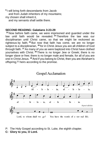**9** I will bring forth descendants from Jacob and from Judah inheritors of my mountains; my chosen shall inherit it,

and my servants shall settle there.

#### **SECOND READING: Galatians 3:23-29**

**<sup>23</sup>** Now before faith came, we were imprisoned and guarded under the law until faith would be revealed. **<sup>24</sup>** Therefore the law was our disciplinarian until Christ came, so that we might be reckoned as righteous by faith. **<sup>25</sup>** But now that faith has come, we are no longer subject to a disciplinarian, **<sup>26</sup>** for in Christ Jesus you are all children of God through faith. **<sup>27</sup>** As many of you as were baptized into Christ have clothed yourselves with Christ. **<sup>28</sup>** There is no longer Jew or Greek; there is no longer slave or free; there is no longer male and female, for all of you are one in Christ Jesus. **<sup>29</sup>** And if you belong to Christ, then you are Abraham's offspring, $[$ b] heirs according to the promise.



- P: The Holy Gospel according to St. Luke, the eighth chapter.
- **C: Glory to you, O Lord.**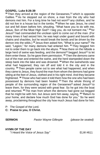#### **GOSPEL**: **Luke 8:26-39**

<sup>26</sup> Then they arrived at the region of the Gerasenes,<sup>[\[a\]](https://www.biblegateway.com/passage/?search=Luke+8%3A26-39&version=NRSVUE#fen-NRSVUE-25264a)</sup> which is opposite Galilee. **<sup>27</sup>** As he stepped out on shore, a man from the city who had demons met him. For a long time he had not worn $b$  any clothes, and he did not live in a house but in the tombs. **<sup>28</sup>** When he saw Jesus, he cried out and fell down before him, shouting, "What have you to do with me, Jesus, Son of the Most High God? I beg you, do not torment me," **<sup>29</sup>** for Jesus<sup>[\[c\]](https://www.biblegateway.com/passage/?search=Luke+8%3A26-39&version=NRSVUE#fen-NRSVUE-25267c)</sup> had commanded the unclean spirit to come out of the man. (For many times it had seized him; he was kept under guard and bound with chains and shackles, but he would break the bonds and be driven by the demon into the wilds.) **<sup>30</sup>** Jesus then asked him, "What is your name?" He said, "Legion," for many demons had entered him. **<sup>31</sup>** They begged him not to order them to go back into the abyss. **<sup>32</sup>** Now there on the hillside a large herd of swine was feeding, and the demons<sup>[\[d\]](https://www.biblegateway.com/passage/?search=Luke+8%3A26-39&version=NRSVUE#fen-NRSVUE-25270d)</sup> begged Jesus<sup>[\[e\]](https://www.biblegateway.com/passage/?search=Luke+8%3A26-39&version=NRSVUE#fen-NRSVUE-25270e)</sup> to let them enter these. So he gave them permission. **<sup>33</sup>** Then the demons came out of the man and entered the swine, and the herd stampeded down the steep bank into the lake and was drowned. **<sup>34</sup>** When the swineherds saw what had happened, they ran off and told it in the city and in the country. **<sup>35</sup>** Then people came out to see what had happened, and when they came to Jesus, they found the man from whom the demons had gone sitting at the feet of Jesus, clothed and in his right mind. And they became frightened. **<sup>36</sup>** Those who had seen it told them how the one who had been possessed by demons had been healed. **<sup>37</sup>** Then the whole throng of people of the surrounding region of the Gerasenes<sup>[[]</sup> asked Jesus<sup>[\[g\]](https://www.biblegateway.com/passage/?search=Luke+8%3A26-39&version=NRSVUE#fen-NRSVUE-25275g)</sup> to leave them, for they were seized with great fear. So he got into the boat and returned. **<sup>38</sup>** The man from whom the demons had gone out begged that he might be with him, but Jesus sent him away, saying, **<sup>39</sup>** "Return to your home, and declare how much God has done for you." So he went away, proclaiming throughout the city how much Jesus had done for him.

- P: The Gospel of the Lord.
- **C: Praise to you, O Christ.**

**SERMON** *Pastor Wayne Gillespie (please be seated)*

#### **HYMN OF THE DAY**

"*I Heard the Voice of Jesus Say"* ELW #611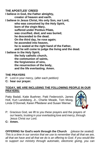**THE APOSTLES' CREED**

**I believe in God, the Father almighty, creator of heaven and earth.**

**I believe in Jesus Christ, His only Son, our Lord, who was conceived by the Holy Spirit, born of the virgin Mary, suffered under Pontius Pilate, was crucified, died, and was buried; he descended to the dead. On the third day, he rose again; he ascended into heaven, he is seated at the right hand of the Father, and he will come to judge the living and the dead. I believe in the Holy Spirit, the holy catholic church, the communion of saints,**

**the forgiveness of sins, the resurrection of the body, and the life everlasting. Amen.**

#### **THE PRAYERS**

- P: Lord in your mercy, (*after each petition)*
- **C: hear our prayer.**

#### **TODAY, WE ARE INCLUDING THE FOLLOWING PEOPLE IN OUR PRAYERS:**

Patty Badali, Katie Buehner, Patti Federovich, James Holt, Kurt Landsberg, Jr., Charlie Meade, Tom Moog, Linda O'Donnell, Karen Pfleiderer and Susan Werner.



- P: Gracious God, we lift to you these prayers and the prayers of our hearts, trusting in your everlasting love and mercy, through Jesus Christ our Lord.
- **C: Amen.**

**OFFERING for God's work through the Church** *(please be seated) This is a time in our service that we use to remember that all that we are, all that we have and all that we do is an offering to God. If you would like to support our ministry through automatic, electronic giving, you can*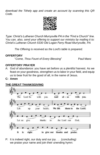*download the Tithely app and create an account by scanning this QR Code.*



*Type: Christ's Lutheran Church Murrysville PA in the "Find a Church" line. You can, also, send your offering to support our ministry by mailing it to: Christ's Lutheran Church 5330 Old Logan Ferry Road Murrysville, PA*

*The Offering is received as the Lord's table is prepared.*

#### **OFFERTORY**

"*Come, Thou Fount of Every Blessing*" Paul Manz

#### **OFFERTORY PRAYER**

- A: God of abundance: you have set before us a plentiful harvest. As we feast on your goodness, strengthen us to labor in your field, and equip us to bear fruit for the good of all, in the name of Jesus.
- **C: Amen**

#### **THE GREAT THANKSGIVING**



P: It is indeed right, our duty and our joy . . . (*concluding)* we praise your name and join their unending hymn: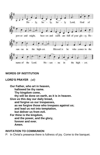

#### **WORDS OF INSTITUTION**

#### **LORD'S PRAYER** *(all)*

**Our Father, who art in heaven, hallowed be thy name. Thy kingdom come, thy will be done on earth, as it is in heaven. Give us this day our daily bread, and forgive us our trespasses, as we forgive those who trespass against us; and lead us not into temptation, but deliver us from evil. For thine is the kingdom, and the power, and the glory, forever and ever. Amen.**

#### **INVITATION TO COMMUNION**

P: In Christ's presence there is fullness of joy. Come to the banquet.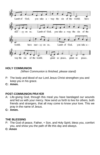

### **HOLY COMMUNION**

 *(When Communion is finished, please stand)*

- P: The body and blood of our Lord Jesus Christ strengthen you and keep you in his grace.
- **C: Amen.**

#### **POST-COMMUNION PRAYER**

- A: Life-giving God, through this meal you have bandaged our wounds and fed us with your mercy. Now send us forth to live for others, both friends and strangers, that all may come to know your love. This we pray in the name of Jesus.
- **C: Amen.**

#### **THE BLESSING**

- P: The God of peace, Father, + Son, and Holy Spirit, bless you, comfort you, and show you the path of life this day and always.
- **C: Amen**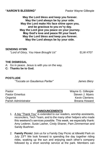**May the Lord bless and keep you forever. May the Lord always be by your side. May the Lord make His face shine upon you, and be gracious to you ev'ry day. May the Lord give you peace on your journey. May God's love and peace fill your heart. May the Lord bless and keep you forever. May the Lord always be by your side.**

#### **SENDING HYMN**

"*Lord of Glory, You Have Brought Us*" ELW #707

#### **THE DISMISSAL**

A: Go in peace. Jesus is with you on the way.

**C: Thanks be to God.**

#### **POSTLUDE**

*"Toccata on Gaudemus Pariter" James Biery*

| Pastor                 | Wayne G. Gillespie   |
|------------------------|----------------------|
| <b>Pastor Emeritus</b> | Steven J. Myers      |
| Organist               | <b>Kevin Clemens</b> |
| Parish Administrator   | Breana Howard        |
|                        |                      |

#### **ANNOUNCEMENTS**

- 1. A big "Thank You" is extended to our readers, worship assistants, reconcilers, Tech Team, and to the many other helpers who made this weekend's services possible. This week, we especially thank: Amy Lederer, Susie Lasher, Cindy Shaner, Pam Zimmerman and Sandy Buehner.
- 2. **Family Picnic**! Join us for a Family Day Picnic at Idlewild Park on July 23<sup>rd</sup>! We look forward to spending the day together riding rides, soaking up the sun and enjoying each other's company followed by a short worship service at the park. Members can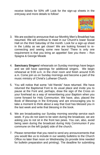receive tickets for 50% off! Look for the sign-up sheets in the entryway and more details to follow!



- 3. We are excited to announce that our Monthly Men's Breakfast has resumed. We will continue to meet in our Church's lower Social Hall on the third Saturday of the month. Look for a sign-up sheet in the Lobby as we get closer! We are looking forward to reconnecting and seeing some new faces! There is only one requirement is that you bring an appetite! See you there – Ron Spagna & George Meade
- 4. **Sanctuary Singers!** rehearsals on Sunday mornings have begun and we still have openings for additional singers. We begin rehearsal at 9:00 a.m. in the choir room and finish around 9:45 a.m. Come join us on Sunday mornings and become a part of the music ministry of Christ's Lutheran Church.
- 5. You will notice that some "old friends" have returned. We have returned the Baptismal Font to its usual place and invite you to pause at the Font and, perhaps, draw the sign of the Cross on your forehead as a way of remembering your Baptism when you come forward for Holy Communion. We have, also, placed the Book of Blessings in the Entryway and are encouraging you to take a moment to think about a way that God has blessed you in the last week and write that blessing in the book.
- 6. We are broadcasting our Sunday morning worship service each week. If you do not want to be seen during the broadcast, we are asking you to not sit in the front two pews. You can, also, avoid being seen during the broadcast during Holy Communion if you commune on the left (pulpit) side of the church.
- 7. Please remember that you need to send any announcements that you would like us to include in our weekly bulletins to the Church Office no later than noon on Wednesday (to provide time needed for bulletin preparation and printing). The deadline for submitting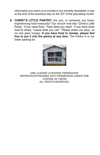information you want us to include in our monthly newsletter is due at the end of the business day on the 20<sup>th</sup> of the preceding month.

**8. CHRIST'S LITTLE PANTRY!** Are you, or someone you know, experiencing food insecurity? Our church now has "Christ's Little Panty". If you need food, "Take what you need". If you have extra food to share, "Leave what you can". Please share our story, so no one goes hungry. **If you have food to donate, please feel free to put it into the pantry at any time.** The Pantry is in our lower parking lot.



ONE LICENSE LICENSING PERMISSION: REPRINTED/STREAMED WITH PERMISSION UNDER ONE LICENSE #A-739156 ALL RIGHTS RESERVED.